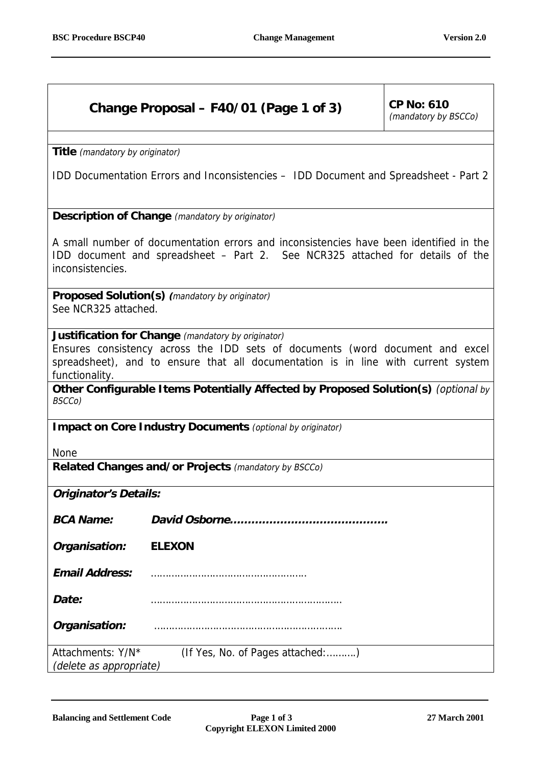## **Change Proposal – F40/01 (Page 1 of 3)**  $\vert$  CP No: 610

(mandatory by BSCCo)

**Title** (mandatory by originator)

IDD Documentation Errors and Inconsistencies – IDD Document and Spreadsheet - Part 2

**Description of Change** (mandatory by originator)

A small number of documentation errors and inconsistencies have been identified in the IDD document and spreadsheet – Part 2. See NCR325 attached for details of the inconsistencies.

**Proposed Solution(s) (**mandatory by originator) See NCR325 attached.

**Justification for Change** (mandatory by originator)

Ensures consistency across the IDD sets of documents (word document and excel spreadsheet), and to ensure that all documentation is in line with current system functionality.

**Other Configurable Items Potentially Affected by Proposed Solution(s)** (optional by BSCCo)

**Impact on Core Industry Documents** (optional by originator)

None

**Related Changes and/or Projects** (mandatory by BSCCo)

**Originator's Details:**

**BCA Name: David Osborne……………………………………..**

**Organisation: ELEXON**

**Email Address:** ……………………………………………..

**Date:** ………………………………………………………..

**Organisation:** ……………………………………………………….

Attachments: Y/N\*(If Yes, No. of Pages attached:……….) (delete as appropriate)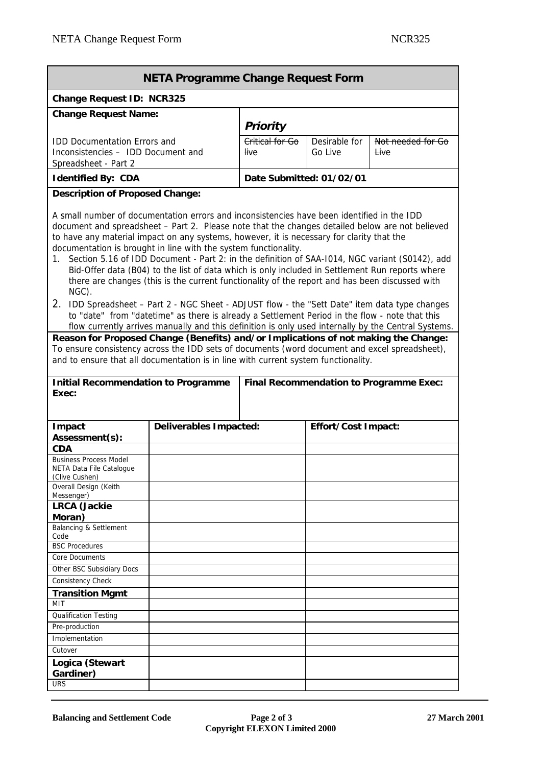| <b>NETA Programme Change Request Form</b>                                                                                                                                                                                                                                                                                                                                                                                                                                                                                                                                                                                                                                                                                                                                                                                                                                                                                                                                                                                                                                                                                                                                                                                                                                    |                                         |                                      |                          |                                      |  |  |  |  |  |
|------------------------------------------------------------------------------------------------------------------------------------------------------------------------------------------------------------------------------------------------------------------------------------------------------------------------------------------------------------------------------------------------------------------------------------------------------------------------------------------------------------------------------------------------------------------------------------------------------------------------------------------------------------------------------------------------------------------------------------------------------------------------------------------------------------------------------------------------------------------------------------------------------------------------------------------------------------------------------------------------------------------------------------------------------------------------------------------------------------------------------------------------------------------------------------------------------------------------------------------------------------------------------|-----------------------------------------|--------------------------------------|--------------------------|--------------------------------------|--|--|--|--|--|
| Change Request ID: NCR325                                                                                                                                                                                                                                                                                                                                                                                                                                                                                                                                                                                                                                                                                                                                                                                                                                                                                                                                                                                                                                                                                                                                                                                                                                                    |                                         |                                      |                          |                                      |  |  |  |  |  |
| <b>Change Request Name:</b>                                                                                                                                                                                                                                                                                                                                                                                                                                                                                                                                                                                                                                                                                                                                                                                                                                                                                                                                                                                                                                                                                                                                                                                                                                                  |                                         |                                      |                          |                                      |  |  |  |  |  |
| <b>IDD Documentation Errors and</b><br>Inconsistencies - IDD Document and<br>Spreadsheet - Part 2                                                                                                                                                                                                                                                                                                                                                                                                                                                                                                                                                                                                                                                                                                                                                                                                                                                                                                                                                                                                                                                                                                                                                                            |                                         | Priority<br>Critical for Go<br>live. | Desirable for<br>Go Live | Not needed for Go<br><del>Live</del> |  |  |  |  |  |
| <b>Identified By: CDA</b>                                                                                                                                                                                                                                                                                                                                                                                                                                                                                                                                                                                                                                                                                                                                                                                                                                                                                                                                                                                                                                                                                                                                                                                                                                                    | Date Submitted: 01/02/01                |                                      |                          |                                      |  |  |  |  |  |
| <b>Description of Proposed Change:</b>                                                                                                                                                                                                                                                                                                                                                                                                                                                                                                                                                                                                                                                                                                                                                                                                                                                                                                                                                                                                                                                                                                                                                                                                                                       |                                         |                                      |                          |                                      |  |  |  |  |  |
| A small number of documentation errors and inconsistencies have been identified in the IDD<br>document and spreadsheet - Part 2. Please note that the changes detailed below are not believed<br>to have any material impact on any systems, however, it is necessary for clarity that the<br>documentation is brought in line with the system functionality.<br>Section 5.16 of IDD Document - Part 2: in the definition of SAA-1014, NGC variant (S0142), add<br>1.<br>Bid-Offer data (B04) to the list of data which is only included in Settlement Run reports where<br>there are changes (this is the current functionality of the report and has been discussed with<br>NGC).<br>2. IDD Spreadsheet - Part 2 - NGC Sheet - ADJUST flow - the "Sett Date" item data type changes<br>to "date" from "datetime" as there is already a Settlement Period in the flow - note that this<br>flow currently arrives manually and this definition is only used internally by the Central Systems.<br>Reason for Proposed Change (Benefits) and/or Implications of not making the Change:<br>To ensure consistency across the IDD sets of documents (word document and excel spreadsheet),<br>and to ensure that all documentation is in line with current system functionality. |                                         |                                      |                          |                                      |  |  |  |  |  |
| <b>Initial Recommendation to Programme</b><br>Exec:                                                                                                                                                                                                                                                                                                                                                                                                                                                                                                                                                                                                                                                                                                                                                                                                                                                                                                                                                                                                                                                                                                                                                                                                                          | Final Recommendation to Programme Exec: |                                      |                          |                                      |  |  |  |  |  |
| Impact<br>Assessment(s):<br><b>CDA</b><br><b>Business Process Model</b><br>NETA Data File Catalogue<br>(Clive Cushen)<br>Overall Design (Keith                                                                                                                                                                                                                                                                                                                                                                                                                                                                                                                                                                                                                                                                                                                                                                                                                                                                                                                                                                                                                                                                                                                               | Deliverables Impacted:                  |                                      | Effort/Cost Impact:      |                                      |  |  |  |  |  |
| Messenger)<br><b>LRCA</b> (Jackie<br>Moran)<br>Balancing & Settlement<br>Code<br><b>BSC Procedures</b><br>Core Documents<br>Other BSC Subsidiary Docs<br>Consistency Check<br><b>Transition Mgmt</b><br><b>MIT</b>                                                                                                                                                                                                                                                                                                                                                                                                                                                                                                                                                                                                                                                                                                                                                                                                                                                                                                                                                                                                                                                           |                                         |                                      |                          |                                      |  |  |  |  |  |
| <b>Qualification Testing</b><br>Pre-production<br>Implementation<br>Cutover<br>Logica (Stewart<br>Gardiner)<br><b>URS</b>                                                                                                                                                                                                                                                                                                                                                                                                                                                                                                                                                                                                                                                                                                                                                                                                                                                                                                                                                                                                                                                                                                                                                    |                                         |                                      |                          |                                      |  |  |  |  |  |